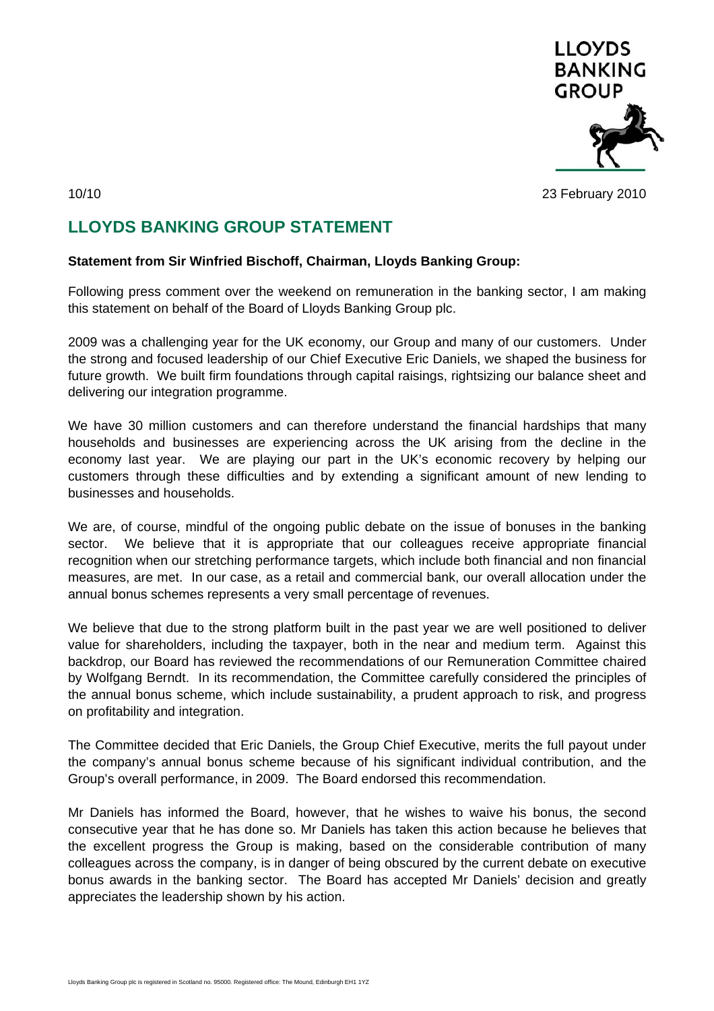

10/10 23 February 2010

## **LLOYDS BANKING GROUP STATEMENT**

## **Statement from Sir Winfried Bischoff, Chairman, Lloyds Banking Group:**

Following press comment over the weekend on remuneration in the banking sector, I am making this statement on behalf of the Board of Lloyds Banking Group plc.

2009 was a challenging year for the UK economy, our Group and many of our customers. Under the strong and focused leadership of our Chief Executive Eric Daniels, we shaped the business for future growth. We built firm foundations through capital raisings, rightsizing our balance sheet and delivering our integration programme.

We have 30 million customers and can therefore understand the financial hardships that many households and businesses are experiencing across the UK arising from the decline in the economy last year. We are playing our part in the UK's economic recovery by helping our customers through these difficulties and by extending a significant amount of new lending to businesses and households.

We are, of course, mindful of the ongoing public debate on the issue of bonuses in the banking sector. We believe that it is appropriate that our colleagues receive appropriate financial recognition when our stretching performance targets, which include both financial and non financial measures, are met. In our case, as a retail and commercial bank, our overall allocation under the annual bonus schemes represents a very small percentage of revenues.

We believe that due to the strong platform built in the past year we are well positioned to deliver value for shareholders, including the taxpayer, both in the near and medium term. Against this backdrop, our Board has reviewed the recommendations of our Remuneration Committee chaired by Wolfgang Berndt. In its recommendation, the Committee carefully considered the principles of the annual bonus scheme, which include sustainability, a prudent approach to risk, and progress on profitability and integration.

The Committee decided that Eric Daniels, the Group Chief Executive, merits the full payout under the company's annual bonus scheme because of his significant individual contribution, and the Group's overall performance, in 2009. The Board endorsed this recommendation.

Mr Daniels has informed the Board, however, that he wishes to waive his bonus, the second consecutive year that he has done so. Mr Daniels has taken this action because he believes that the excellent progress the Group is making, based on the considerable contribution of many colleagues across the company, is in danger of being obscured by the current debate on executive bonus awards in the banking sector. The Board has accepted Mr Daniels' decision and greatly appreciates the leadership shown by his action.